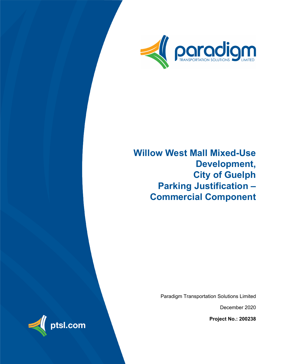

# **Willow West Mall Mixed-Use Development, City of Guelph Parking Justification – Commercial Component**

Paradigm Transportation Solutions Limited

December 2020

**Project No.: 200238**

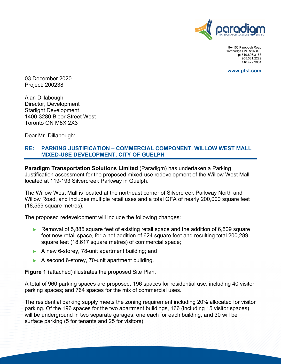

5A-150 Pinebush Road Cambridge ON N1R 8J8 p: 519.896.3163 905.381.2229 416.479.9684

**www.ptsl.com**

03 December 2020 Project: 200238

Alan Dillabough Director, Development Starlight Development 1400-3280 Bloor Street West Toronto ON M8X 2X3

Dear Mr. Dillabough:

#### **RE: PARKING JUSTIFICATION – COMMERCIAL COMPONENT, WILLOW WEST MALL MIXED-USE DEVELOPMENT, CITY OF GUELPH**

**Paradigm Transportation Solutions Limited** (Paradigm) has undertaken a Parking Justification assessment for the proposed mixed-use redevelopment of the Willow West Mall located at 119-193 Silvercreek Parkway in Guelph.

The Willow West Mall is located at the northeast corner of Silvercreek Parkway North and Willow Road, and includes multiple retail uses and a total GFA of nearly 200,000 square feet (18,559 square metres).

The proposed redevelopment will include the following changes:

- Removal of 5,885 square feet of existing retail space and the addition of 6,509 square feet new retail space, for a net addition of 624 square feet and resulting total 200,289 square feet (18,617 square metres) of commercial space;
- A new 6-storey, 78-unit apartment building; and
- A second 6-storey, 70-unit apartment building.

**Figure 1** (attached) illustrates the proposed Site Plan.

A total of 960 parking spaces are proposed, 196 spaces for residential use, including 40 visitor parking spaces; and 764 spaces for the mix of commercial uses.

The residential parking supply meets the zoning requirement including 20% allocated for visitor parking. Of the 196 spaces for the two apartment buildings, 166 (including 15 visitor spaces) will be underground in two separate garages, one each for each building, and 30 will be surface parking (5 for tenants and 25 for visitors).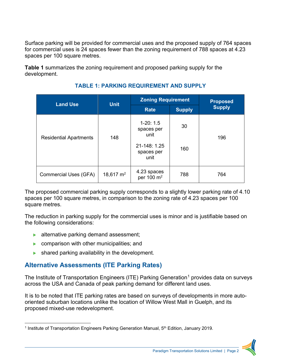Surface parking will be provided for commercial uses and the proposed supply of 764 spaces for commercial uses is 24 spaces fewer than the zoning requirement of 788 spaces at 4.23 spaces per 100 square metres.

**Table 1** summarizes the zoning requirement and proposed parking supply for the development.

| <b>Land Use</b>               | <b>Unit</b> | <b>Zoning Requirement</b>                                              |               | <b>Proposed</b> |
|-------------------------------|-------------|------------------------------------------------------------------------|---------------|-----------------|
|                               |             | <b>Rate</b>                                                            | <b>Supply</b> | <b>Supply</b>   |
| <b>Residential Apartments</b> | 148         | $1-20:1.5$<br>spaces per<br>unit<br>21-148: 1.25<br>spaces per<br>unit | 30<br>160     | 196             |
| Commercial Uses (GFA)         | 18,617 $m2$ | 4.23 spaces<br>per 100 m <sup>2</sup>                                  | 788           | 764             |

### **TABLE 1: PARKING REQUIREMENT AND SUPPLY**

The proposed commercial parking supply corresponds to a slightly lower parking rate of 4.10 spaces per 100 square metres, in comparison to the zoning rate of 4.23 spaces per 100 square metres.

The reduction in parking supply for the commercial uses is minor and is justifiable based on the following considerations:

- $\blacktriangleright$  alternative parking demand assessment;
- **DED** comparison with other municipalities; and
- $\blacktriangleright$  shared parking availability in the development.

# **Alternative Assessments (ITE Parking Rates)**

The Institute of Transportation Engineers (ITE) Parking Generation<sup>[1](#page-3-0)</sup> provides data on surveys across the USA and Canada of peak parking demand for different land uses.

It is to be noted that ITE parking rates are based on surveys of developments in more autooriented suburban locations unlike the location of Willow West Mall in Guelph, and its proposed mixed-use redevelopment.



<span id="page-3-0"></span><sup>&</sup>lt;sup>1</sup> Institute of Transportation Engineers Parking Generation Manual, 5<sup>th</sup> Edition, January 2019.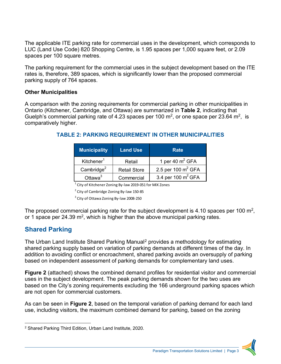The applicable ITE parking rate for commercial uses in the development, which corresponds to LUC (Land Use Code) 820 Shopping Centre, is 1.95 spaces per 1,000 square feet, or 2.09 spaces per 100 square metres.

The parking requirement for the commercial uses in the subject development based on the ITE rates is, therefore, 389 spaces, which is significantly lower than the proposed commercial parking supply of 764 spaces.

#### **Other Municipalities**

A comparison with the zoning requirements for commercial parking in other municipalities in Ontario (Kitchener, Cambridge, and Ottawa) are summarized in **Table 2**, indicating that Guelph's commercial parking rate of 4.23 spaces per 100  $\mathrm{m}^2$ , or one space per 23.64  $\mathrm{m}^2$ , is comparatively higher.

| <b>Municipality</b>    | <b>Land Use</b>     | Rate                  |  |
|------------------------|---------------------|-----------------------|--|
| Kitchener <sup>1</sup> | Retail              | 1 per 40 $m^2$ GFA    |  |
| Cambridge $^2$         | <b>Retail Store</b> | 2.5 per 100 $m^2$ GFA |  |
| Ottawa $3$             | Commercial          | 3.4 per 100 $m^2$ GFA |  |

#### **TABLE 2: PARKING REQUIREMENT IN OTHER MUNICIPALITIES**

<sup>1</sup> City of Kitchener Zoning By-law 2019-051 for MIX Zones

<sup>2</sup> City of Cambridge Zoning By-law 150-85

<sup>3</sup> City of Ottawa Zoning By-law 2008-250

The proposed commercial parking rate for the subject development is 4.10 spaces per 100 m<sup>2</sup>, or 1 space per 24.39  $m^2$ , which is higher than the above municipal parking rates.

# **Shared Parking**

The Urban Land Institute Shared Parking Manual<sup>[2](#page-4-0)</sup> provides a methodology for estimating shared parking supply based on variation of parking demands at different times of the day. In addition to avoiding conflict or encroachment, shared parking avoids an oversupply of parking based on independent assessment of parking demands for complementary land uses.

**Figure 2** (attached) shows the combined demand profiles for residential visitor and commercial uses in the subject development. The peak parking demands shown for the two uses are based on the City's zoning requirements excluding the 166 underground parking spaces which are not open for commercial customers.

As can be seen in **Figure 2**, based on the temporal variation of parking demand for each land use, including visitors, the maximum combined demand for parking, based on the zoning



<span id="page-4-0"></span><sup>2</sup> Shared Parking Third Edition, Urban Land Institute, 2020.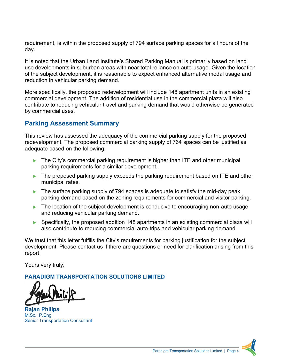requirement, is within the proposed supply of 794 surface parking spaces for all hours of the day.

It is noted that the Urban Land Institute's Shared Parking Manual is primarily based on land use developments in suburban areas with near total reliance on auto-usage. Given the location of the subject development, it is reasonable to expect enhanced alternative modal usage and reduction in vehicular parking demand.

More specifically, the proposed redevelopment will include 148 apartment units in an existing commercial development. The addition of residential use in the commercial plaza will also contribute to reducing vehicular travel and parking demand that would otherwise be generated by commercial uses.

# **Parking Assessment Summary**

This review has assessed the adequacy of the commercial parking supply for the proposed redevelopment. The proposed commercial parking supply of 764 spaces can be justified as adequate based on the following:

- $\triangleright$  The City's commercial parking requirement is higher than ITE and other municipal parking requirements for a similar development.
- ▶ The proposed parking supply exceeds the parking requirement based on ITE and other municipal rates.
- The surface parking supply of 794 spaces is adequate to satisfy the mid-day peak parking demand based on the zoning requirements for commercial and visitor parking.
- The location of the subject development is conducive to encouraging non-auto usage and reducing vehicular parking demand.
- ▶ Specifically, the proposed addition 148 apartments in an existing commercial plaza will also contribute to reducing commercial auto-trips and vehicular parking demand.

We trust that this letter fulfills the City's requirements for parking justification for the subject development. Please contact us if there are questions or need for clarification arising from this report.

Yours very truly,

#### **PARADIGM TRANSPORTATION SOLUTIONS LIMITED**

**Rajan Philips** M.Sc., P.Eng. Senior Transportation Consultant

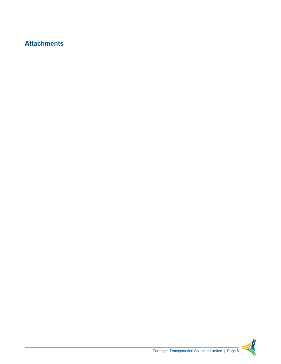# **Attachments**

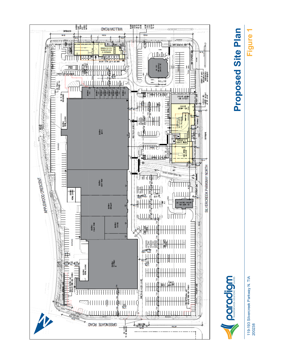**Figure 1**

119-193 Silvercreek Parkway N. TIA<br>200238 119-193 Silvercreek Parkway N. TIA<br>200238

# Proposed Site Plan **Proposed Site Plan**